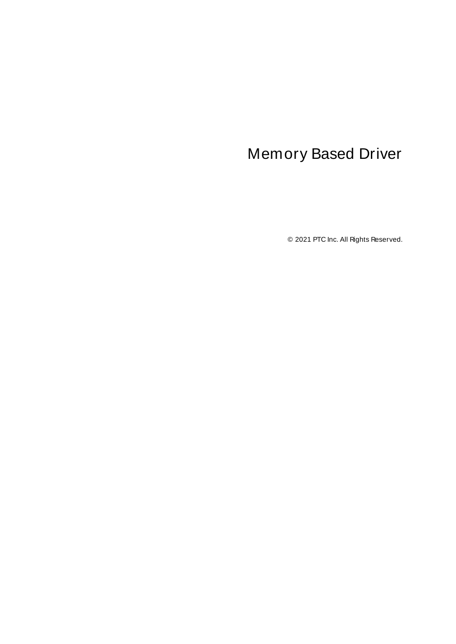# <span id="page-0-0"></span>Memory Based Driver

© 2021 PTC Inc. All Rights Reserved.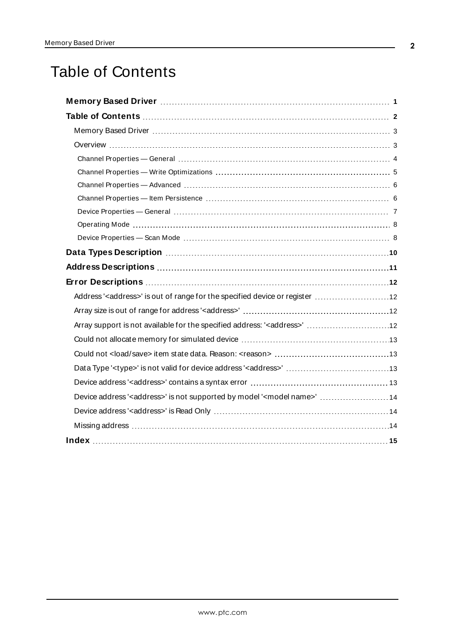# <span id="page-1-0"></span>Table of Contents

| Memory Based Driver manufactured and the Memory and Driver Memory Based Driver manufactured and the Memory 1   |
|----------------------------------------------------------------------------------------------------------------|
|                                                                                                                |
|                                                                                                                |
|                                                                                                                |
|                                                                                                                |
|                                                                                                                |
|                                                                                                                |
|                                                                                                                |
|                                                                                                                |
|                                                                                                                |
|                                                                                                                |
| Data Types Description manufacture and the control of the USA of the USA of the USA of the USA of the USA of t |
|                                                                                                                |
|                                                                                                                |
| Address' <address>' is out of range for the specified device or register  12</address>                         |
|                                                                                                                |
| Array support is not available for the specified address: ' <address>'  12</address>                           |
|                                                                                                                |
|                                                                                                                |
|                                                                                                                |
|                                                                                                                |
| Device address' <address>' is not supported by model '<model name="">'  14</model></address>                   |
|                                                                                                                |
|                                                                                                                |
|                                                                                                                |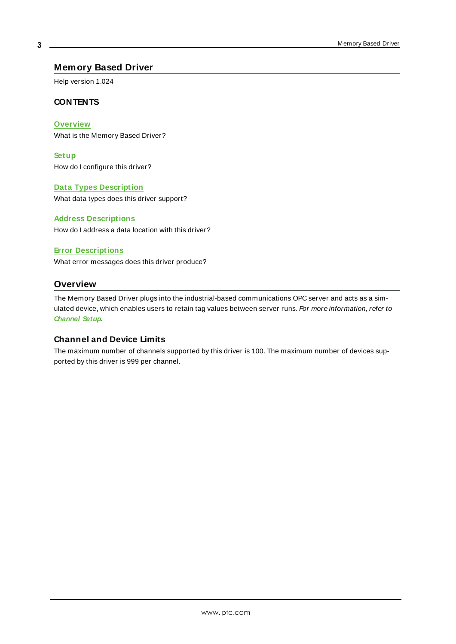## <span id="page-2-0"></span>**Memory Based Driver**

Help version 1.024

#### **CONTENTS**

**[Overview](#page-2-1)** What is the Memory Based Driver?

**[Setup](#page-3-0)** How do I configure this driver?

#### **Data Types [Description](#page-9-0)**

What data types does this driver support?

#### **Address [Descriptions](#page-10-0)**

How do I address a data location with this driver?

#### **Error [Descriptions](#page-11-0)**

<span id="page-2-1"></span>What error messages does this driver produce?

# **Overview**

The Memory Based Driver plugs into the industrial-based communications OPC server and acts as a simulated device, which enables users to retain tag values between server runs. For more information, refer to **[Channel](#page-5-1) Setup**.

#### **Channel and Device Limits**

The maximum number of channels supported by this driver is 100. The maximum number of devices supported by this driver is 999 per channel.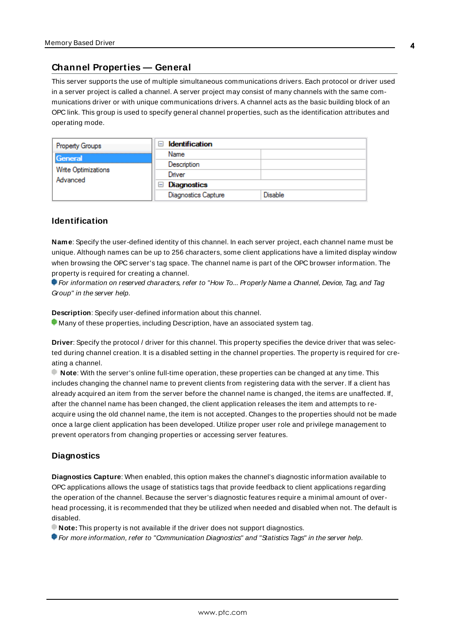### <span id="page-3-0"></span>**Channel Properties — General**

This server supports the use of multiple simultaneous communications drivers. Each protocol or driver used in a server project is called a channel. A server project may consist of many channels with the same communications driver or with unique communications drivers. A channel acts as the basic building block of an OPC link. This group is used to specify general channel properties, such as the identification attributes and operating mode.

| <b>Property Groups</b>                     | <b>Identification</b><br>$\equiv$ |                |
|--------------------------------------------|-----------------------------------|----------------|
| General<br>Write Optimizations<br>Advanced | Name                              |                |
|                                            | Description                       |                |
|                                            | Driver                            |                |
|                                            | Diagnostics<br>$-$                |                |
|                                            | <b>Diagnostics Capture</b>        | <b>Disable</b> |

#### **Identification**

**Name**: Specify the user-defined identity of this channel. In each server project, each channel name must be unique. Although names can be up to 256 characters, some client applications have a limited display window when browsing the OPC server's tag space. The channel name is part of the OPC browser information. The property is required for creating a channel.

For information on reserved characters, refer to "How To... Properly Name a Channel, Device, Tag, and Tag Group" in the server help.

**Description**: Specify user-defined information about this channel.

Many of these properties, including Description, have an associated system tag.

**Driver**: Specify the protocol / driver for this channel. This property specifies the device driver that was selected during channel creation. It is a disabled setting in the channel properties. The property is required for creating a channel.

**Note**: With the server's online full-time operation, these properties can be changed at any time. This includes changing the channel name to prevent clients from registering data with the server. If a client has already acquired an item from the server before the channel name is changed, the items are unaffected. If, after the channel name has been changed, the client application releases the item and attempts to reacquire using the old channel name, the item is not accepted. Changes to the properties should not be made once a large client application has been developed. Utilize proper user role and privilege management to prevent operators from changing properties or accessing server features.

#### **Diagnostics**

**Diagnostics Capture**: When enabled, this option makes the channel's diagnostic information available to OPC applications allows the usage of statistics tags that provide feedback to client applications regarding the operation of the channel. Because the server's diagnostic features require a minimal amount of overhead processing, it is recommended that they be utilized when needed and disabled when not. The default is disabled.

**Note:** This property is not available if the driver does not support diagnostics.

**• For more information, refer to "Communication Diagnostics" and "Statistics Tags" in the server help.**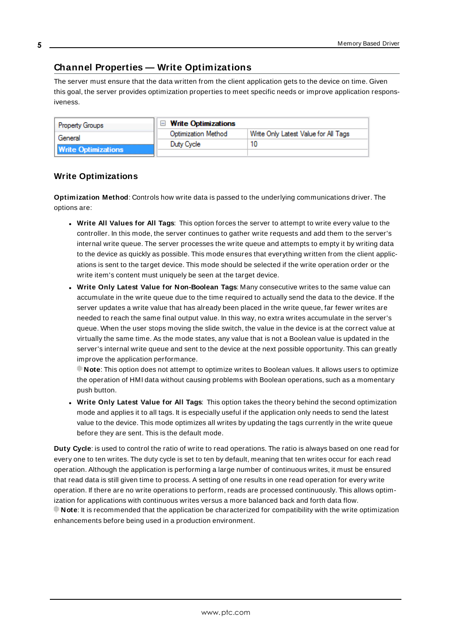# <span id="page-4-0"></span>**Channel Properties — Write Optimizations**

The server must ensure that the data written from the client application gets to the device on time. Given this goal, the server provides optimization properties to meet specific needs or improve application responsiveness.

| <b>Property Groups</b>     | $\Box$ Write Optimizations |                                      |  |
|----------------------------|----------------------------|--------------------------------------|--|
| General                    | <b>Optimization Method</b> | Write Only Latest Value for All Tags |  |
|                            | Duty Cycle                 |                                      |  |
| <b>Write Optimizations</b> |                            |                                      |  |

# **Write Optimizations**

**Optimization Method**: Controls how write data is passed to the underlying communications driver. The options are:

- <sup>l</sup> **Write All Values for All Tags**: This option forces the server to attempt to write every value to the controller. In this mode, the server continues to gather write requests and add them to the server's internal write queue. The server processes the write queue and attempts to empty it by writing data to the device as quickly as possible. This mode ensures that everything written from the client applications is sent to the target device. This mode should be selected if the write operation order or the write item's content must uniquely be seen at the target device.
- <sup>l</sup> **Write Only Latest Value for Non-Boolean Tags**: Many consecutive writes to the same value can accumulate in the write queue due to the time required to actually send the data to the device. If the server updates a write value that has already been placed in the write queue, far fewer writes are needed to reach the same final output value. In this way, no extra writes accumulate in the server's queue. When the user stops moving the slide switch, the value in the device is at the correct value at virtually the same time. As the mode states, any value that is not a Boolean value is updated in the server's internal write queue and sent to the device at the next possible opportunity. This can greatly improve the application performance.

**Note**: This option does not attempt to optimize writes to Boolean values. It allows users to optimize the operation of HMI data without causing problems with Boolean operations, such as a momentary push button.

**.** Write Only Latest Value for All Tags: This option takes the theory behind the second optimization mode and applies it to all tags. It is especially useful if the application only needs to send the latest value to the device. This mode optimizes all writes by updating the tags currently in the write queue before they are sent. This is the default mode.

**Duty Cycle**: is used to control the ratio of write to read operations. The ratio is always based on one read for every one to ten writes. The duty cycle is set to ten by default, meaning that ten writes occur for each read operation. Although the application is performing a large number of continuous writes, it must be ensured that read data is still given time to process. A setting of one results in one read operation for every write operation. If there are no write operations to perform, reads are processed continuously. This allows optimization for applications with continuous writes versus a more balanced back and forth data flow. **Note**: It is recommended that the application be characterized for compatibility with the write optimization enhancements before being used in a production environment.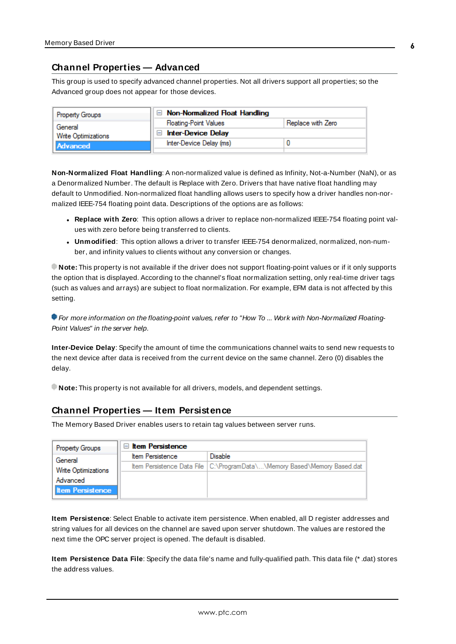# <span id="page-5-0"></span>**Channel Properties — Advanced**

This group is used to specify advanced channel properties. Not all drivers support all properties; so the Advanced group does not appear for those devices.

| <b>Property Groups</b>     | $\Box$ Non-Normalized Float Handling |                   |
|----------------------------|--------------------------------------|-------------------|
| General                    | <b>Floating-Point Values</b>         | Replace with Zero |
| <b>Write Optimizations</b> | Inter-Device Delay                   |                   |
| Advanced                   | Inter-Device Delay (ms)              |                   |
|                            |                                      |                   |

**Non-Normalized Float Handling**: A non-normalized value is defined as Infinity, Not-a-Number (NaN), or as a Denormalized Number. The default is Replace with Zero. Drivers that have native float handling may default to Unmodified. Non-normalized float handling allows users to specify how a driver handles non-normalized IEEE-754 floating point data. Descriptions of the options are as follows:

- <sup>l</sup> **Replace with Zero**: This option allows a driver to replace non-normalized IEEE-754 floating point values with zero before being transferred to clients.
- <sup>l</sup> **Unmodified**: This option allows a driver to transfer IEEE-754 denormalized, normalized, non-number, and infinity values to clients without any conversion or changes.

**Note:** This property is not available if the driver does not support floating-point values or if it only supports the option that is displayed. According to the channel's float normalization setting, only real-time driver tags (such as values and arrays) are subject to float normalization. For example, EFM data is not affected by this setting.

**For more information on the floating-point values, refer to "How To ... Work with Non-Normalized Floating-**Point Values" in the server help.

**Inter-Device Delay**: Specify the amount of time the communications channel waits to send new requests to the next device after data is received from the current device on the same channel. Zero (0) disables the delay.

<span id="page-5-1"></span>**Note:** This property is not available for all drivers, models, and dependent settings.

#### **Channel Properties — Item Persistence**

The Memory Based Driver enables users to retain tag values between server runs.

| Property Groups         | $\Box$ Item Persistence |                                                                            |  |  |
|-------------------------|-------------------------|----------------------------------------------------------------------------|--|--|
| General                 | <b>Item Persistence</b> | Disable                                                                    |  |  |
| Write Optimizations     |                         | Item Persistence Data File   C:\ProgramData\\Memory Based\Memory Based.dat |  |  |
| Advanced                |                         |                                                                            |  |  |
| <b>Item Persistence</b> |                         |                                                                            |  |  |

**Item Persistence**: Select Enable to activate item persistence. When enabled, all D register addresses and string values for all devices on the channel are saved upon server shutdown. The values are restored the next time the OPC server project is opened. The default is disabled.

**Item Persistence Data File**: Specify the data file's name and fully-qualified path. This data file (\* .dat) stores the address values.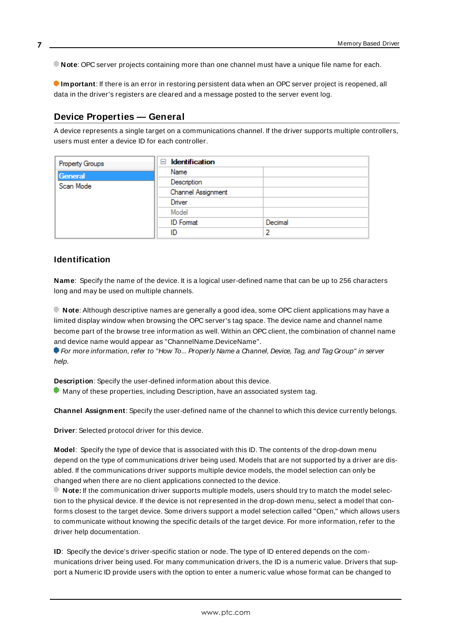**Note**: OPC server projects containing more than one channel must have a unique file name for each.

**Important**: If there is an error in restoring persistent data when an OPC server project is reopened, all data in the driver's registers are cleared and a message posted to the server event log.

# <span id="page-6-0"></span>**Device Properties — General**

A device represents a single target on a communications channel. If the driver supports multiple controllers, users must enter a device ID for each controller.

| Property Groups | <b>Identification</b><br>$=$ |         |  |
|-----------------|------------------------------|---------|--|
| General         | Name                         |         |  |
| Scan Mode       | Description                  |         |  |
|                 | Channel Assignment           |         |  |
|                 | Driver                       |         |  |
|                 | Model                        |         |  |
|                 | <b>ID</b> Format             | Decimal |  |
|                 | ID                           |         |  |

#### <span id="page-6-4"></span>**Identification**

**Name**: Specify the name of the device. It is a logical user-defined name that can be up to 256 characters long and may be used on multiple channels.

**Note**: Although descriptive names are generally a good idea, some OPC client applications may have a limited display window when browsing the OPC server's tag space. The device name and channel name become part of the browse tree information as well. Within an OPC client, the combination of channel name and device name would appear as "ChannelName.DeviceName".

**F** For more information, refer to "How To... Properly Name a Channel, Device, Tag, and Tag Group" in server help.

**Description**: Specify the user-defined information about this device.

<span id="page-6-1"></span>**Many of these properties, including Description, have an associated system tag.** 

<span id="page-6-2"></span>**Channel Assignment**: Specify the user-defined name of the channel to which this device currently belongs.

<span id="page-6-3"></span>**Driver**: Selected protocol driver for this device.

**Model**: Specify the type of device that is associated with this ID. The contents of the drop-down menu depend on the type of communications driver being used. Models that are not supported by a driver are disabled. If the communications driver supports multiple device models, the model selection can only be changed when there are no client applications connected to the device.

**Note:** If the communication driver supports multiple models, users should try to match the model selection to the physical device. If the device is not represented in the drop-down menu, select a model that conforms closest to the target device. Some drivers support a model selection called "Open," which allows users to communicate without knowing the specific details of the target device. For more information, refer to the driver help documentation.

**ID**: Specify the device's driver-specific station or node. The type of ID entered depends on the communications driver being used. For many communication drivers, the ID is a numeric value. Drivers that support a Numeric ID provide users with the option to enter a numeric value whose format can be changed to

**7**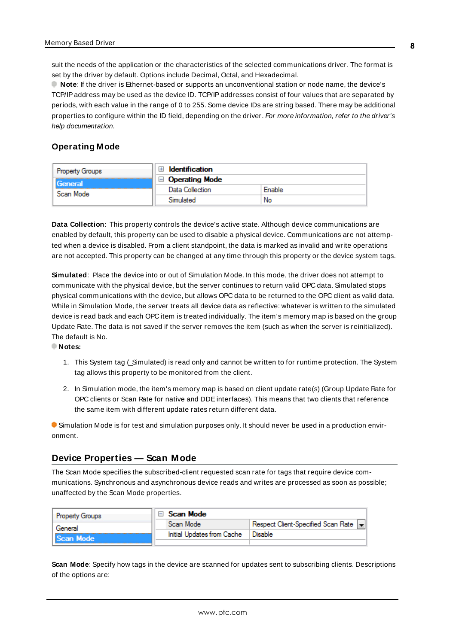<span id="page-7-3"></span>suit the needs of the application or the characteristics of the selected communications driver. The format is set by the driver by default. Options include Decimal, Octal, and Hexadecimal.

**Note**: If the driver is Ethernet-based or supports an unconventional station or node name, the device's TCP/IPaddress may be used as the device ID. TCP/IPaddresses consist of four values that are separated by periods, with each value in the range of 0 to 255. Some device IDs are string based. There may be additional properties to configure within the ID field, depending on the driver. For more information, refer to the driver's help documentation.

# <span id="page-7-0"></span>**Operating Mode**

| <b>Property Groups</b>      | <b>Identification</b> |        |
|-----------------------------|-----------------------|--------|
| <b>General</b><br>Scan Mode | <b>Operating Mode</b> |        |
|                             | Data Collection       | Enable |
|                             | Simulated             | No     |

<span id="page-7-2"></span>**Data Collection**: This property controls the device's active state. Although device communications are enabled by default, this property can be used to disable a physical device. Communications are not attempted when a device is disabled. From a client standpoint, the data is marked as invalid and write operations are not accepted. This property can be changed at any time through this property or the device system tags.

<span id="page-7-5"></span>**Simulated**: Place the device into or out of Simulation Mode. In this mode, the driver does not attempt to communicate with the physical device, but the server continues to return valid OPC data. Simulated stops physical communications with the device, but allows OPC data to be returned to the OPC client as valid data. While in Simulation Mode, the server treats all device data as reflective: whatever is written to the simulated device is read back and each OPC item is treated individually. The item's memory map is based on the group Update Rate. The data is not saved if the server removes the item (such as when the server is reinitialized). The default is No.

**Notes:**

- 1. This System tag (\_Simulated) is read only and cannot be written to for runtime protection. The System tag allows this property to be monitored from the client.
- 2. In Simulation mode, the item's memory map is based on client update rate(s) (Group Update Rate for OPC clients or Scan Rate for native and DDEinterfaces). This means that two clients that reference the same item with different update rates return different data.

 Simulation Mode is for test and simulation purposes only. It should never be used in a production environment.

# <span id="page-7-1"></span>**Device Properties — Scan Mode**

The Scan Mode specifies the subscribed-client requested scan rate for tags that require device communications. Synchronous and asynchronous device reads and writes are processed as soon as possible; unaffected by the Scan Mode properties.

| <b>Property Groups</b> | ⊟ Scan Mode                |                                       |  |
|------------------------|----------------------------|---------------------------------------|--|
| General                | Scan Mode                  | Respect Client-Specified Scan Rate  - |  |
| Scan Mode              | Initial Updates from Cache | Disable                               |  |
|                        |                            |                                       |  |

<span id="page-7-4"></span>**Scan Mode**: Specify how tags in the device are scanned for updates sent to subscribing clients. Descriptions of the options are: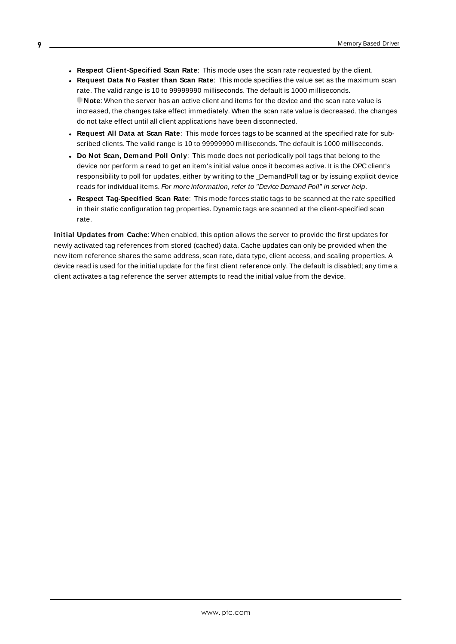- <sup>l</sup> **Respect Client-Specified Scan Rate**: This mode uses the scan rate requested by the client.
- <sup>l</sup> **Request Data No Faster than Scan Rate**: This mode specifies the value set as the maximum scan rate. The valid range is 10 to 99999990 milliseconds. The default is 1000 milliseconds. **Note**: When the server has an active client and items for the device and the scan rate value is increased, the changes take effect immediately. When the scan rate value is decreased, the changes do not take effect until all client applications have been disconnected.
- <sup>l</sup> **Request All Data at Scan Rate**: This mode forces tags to be scanned at the specified rate for subscribed clients. The valid range is 10 to 99999990 milliseconds. The default is 1000 milliseconds.
- <span id="page-8-0"></span><sup>l</sup> **Do Not Scan, Demand Poll Only**: This mode does not periodically poll tags that belong to the device nor perform a read to get an item's initial value once it becomes active. It is the OPC client's responsibility to poll for updates, either by writing to the \_DemandPoll tag or by issuing explicit device reads for individual items. For more information, refer to "Device Demand Poll" in server help.
- <span id="page-8-2"></span><sup>l</sup> **Respect Tag-Specified Scan Rate**: This mode forces static tags to be scanned at the rate specified in their static configuration tag properties. Dynamic tags are scanned at the client-specified scan rate.

<span id="page-8-1"></span>**Initial Updates from Cache**: When enabled, this option allows the server to provide the first updates for newly activated tag references from stored (cached) data. Cache updates can only be provided when the new item reference shares the same address, scan rate, data type, client access, and scaling properties. A device read is used for the initial update for the first client reference only. The default is disabled; any time a client activates a tag reference the server attempts to read the initial value from the device.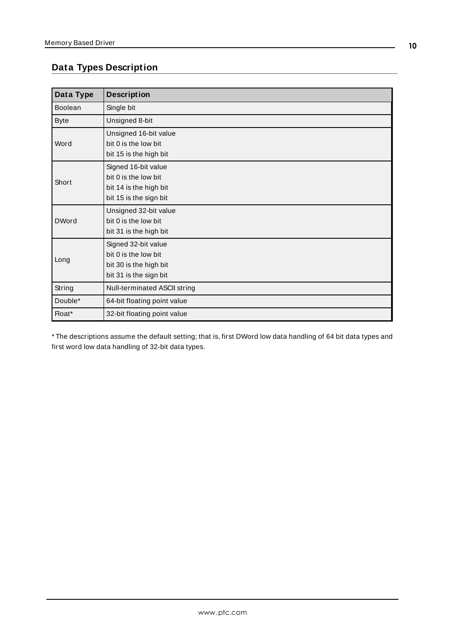# <span id="page-9-0"></span>**Data Types Description**

| Data Type    | <b>Description</b>                                                                              |
|--------------|-------------------------------------------------------------------------------------------------|
| Boolean      | Single bit                                                                                      |
| <b>Byte</b>  | Unsigned 8-bit                                                                                  |
| Word         | Unsigned 16-bit value<br>bit 0 is the low bit<br>bit 15 is the high bit                         |
| Short        | Signed 16-bit value<br>bit 0 is the low bit<br>bit 14 is the high bit<br>bit 15 is the sign bit |
| <b>DWord</b> | Unsigned 32-bit value<br>bit 0 is the low bit<br>bit 31 is the high bit                         |
| Long         | Signed 32-bit value<br>bit 0 is the low bit<br>bit 30 is the high bit<br>bit 31 is the sign bit |
| String       | Null-terminated ASCII string                                                                    |
| Double*      | 64-bit floating point value                                                                     |
| Float*       | 32-bit floating point value                                                                     |

\* The descriptions assume the default setting; that is, first DWord low data handling of 64 bit data types and first word low data handling of 32-bit data types.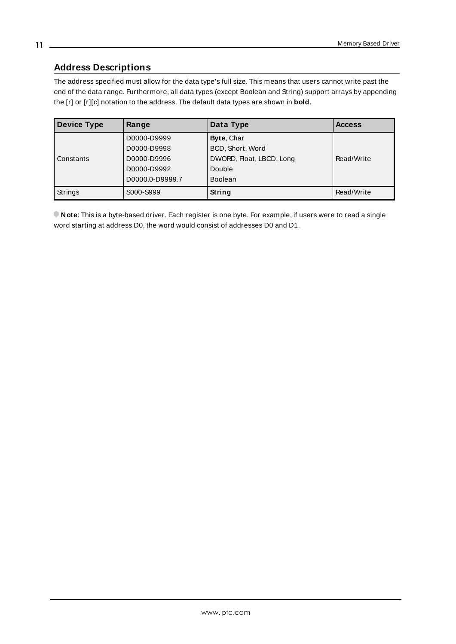# <span id="page-10-0"></span>**Address Descriptions**

The address specified must allow for the data type's full size. This means that users cannot write past the end of the data range. Furthermore, all data types (except Boolean and String) support arrays by appending the [r] or [r][c] notation to the address. The default data types are shown in **bold**.

| <b>Device Type</b> | Range           | Data Type                | <b>Access</b> |
|--------------------|-----------------|--------------------------|---------------|
|                    | D0000-D9999     | Byte, Char               |               |
|                    | D0000-D9998     | BCD, Short, Word         |               |
| Constants          | D0000-D9996     | DWORD, Float, LBCD, Long | Read/Write    |
|                    | D0000-D9992     | Double                   |               |
|                    | D0000.0-D9999.7 | <b>Boolean</b>           |               |
| <b>Strings</b>     | S000-S999       | String                   | Read/Write    |

**Note**: This is a byte-based driver. Each register is one byte. For example, if users were to read a single word starting at address D0, the word would consist of addresses D0 and D1.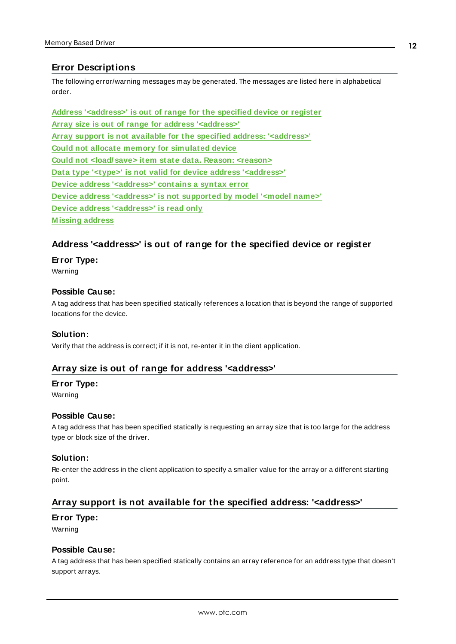# <span id="page-11-0"></span>**Error Descriptions**

The following error/warning messages may be generated. The messages are listed here in alphabetical order.

**Address ['<address>'](#page-11-1) is out of range for the specified device or register Array size is out of range for address ['<address>'](#page-11-2) Array support is not available for the specified address: ['<address>'](#page-11-3) Could not allocate memory for [simulated](#page-12-0) device Could not [<load/ save>](#page-12-1) item state data. Reason: <reason> Data type '<type>' is not valid for device address ['<address>'](#page-12-2) Device address ['<address>'](#page-12-3) contains a syntax error Device address ['<address>'](#page-13-0) is not supported by model '<model name>' Device address ['<address>'](#page-13-1) is read only [M issing](#page-13-2) address**

# <span id="page-11-1"></span>**Address '<address>' is out of range for the specified device or register**

#### **Error Type:**

Warning

#### **Possible Cause:**

A tag address that has been specified statically references a location that is beyond the range of supported locations for the device.

#### **Solution:**

<span id="page-11-2"></span>Verify that the address is correct; if it is not, re-enter it in the client application.

# **Array size is out of range for address '<address>'**

#### **Error Type:**

Warning

#### **Possible Cause:**

A tag address that has been specified statically is requesting an array size that is too large for the address type or block size of the driver.

#### **Solution:**

Re-enter the address in the client application to specify a smaller value for the array or a different starting point.

# <span id="page-11-3"></span>**Array support is not available for the specified address: '<address>'**

#### **Error Type:**

Warning

#### **Possible Cause:**

A tag address that has been specified statically contains an array reference for an address type that doesn't support arrays.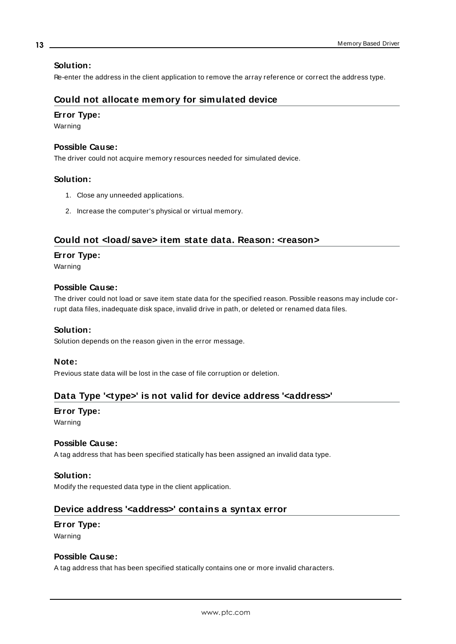#### **Solution:**

<span id="page-12-0"></span>Re-enter the address in the client application to remove the array reference or correct the address type.

# **Could not allocate memory for simulated device**

#### **Error Type:**

Warning

### **Possible Cause:**

The driver could not acquire memory resources needed for simulated device.

#### **Solution:**

- 1. Close any unneeded applications.
- 2. Increase the computer's physical or virtual memory.

# <span id="page-12-1"></span>**Could not <load/ save> item state data. Reason: <reason>**

#### **Error Type:**

Warning

#### **Possible Cause:**

The driver could not load or save item state data for the specified reason. Possible reasons may include corrupt data files, inadequate disk space, invalid drive in path, or deleted or renamed data files.

#### **Solution:**

Solution depends on the reason given in the error message.

#### **Note:**

<span id="page-12-2"></span>Previous state data will be lost in the case of file corruption or deletion.

# **Data Type '<type>' is not valid for device address '<address>'**

#### **Error Type:**

Warning

#### **Possible Cause:**

A tag address that has been specified statically has been assigned an invalid data type.

#### **Solution:**

<span id="page-12-3"></span>Modify the requested data type in the client application.

# **Device address '<address>' contains a syntax error**

#### **Error Type:** Warning

## **Possible Cause:**

A tag address that has been specified statically contains one or more invalid characters.

#### **13**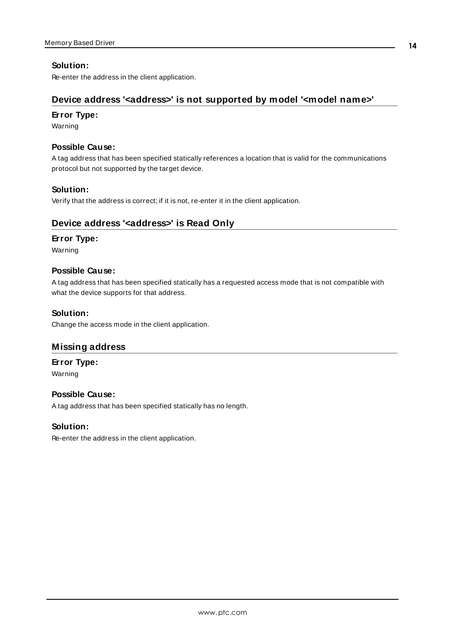# **Solution:**

<span id="page-13-0"></span>Re-enter the address in the client application.

# **Device address '<address>' is not supported by model '<model name>'**

#### **Error Type:**

Warning

# **Possible Cause:**

A tag address that has been specified statically references a location that is valid for the communications protocol but not supported by the target device.

### **Solution:**

<span id="page-13-1"></span>Verify that the address is correct; if it is not, re-enter it in the client application.

# **Device address '<address>' is Read Only**

### **Error Type:**

Warning

### **Possible Cause:**

A tag address that has been specified statically has a requested access mode that is not compatible with what the device supports for that address.

### **Solution:**

<span id="page-13-2"></span>Change the access mode in the client application.

# **Missing address**

**Error Type:** Warning

#### **Possible Cause:**

A tag address that has been specified statically has no length.

#### **Solution:**

Re-enter the address in the client application.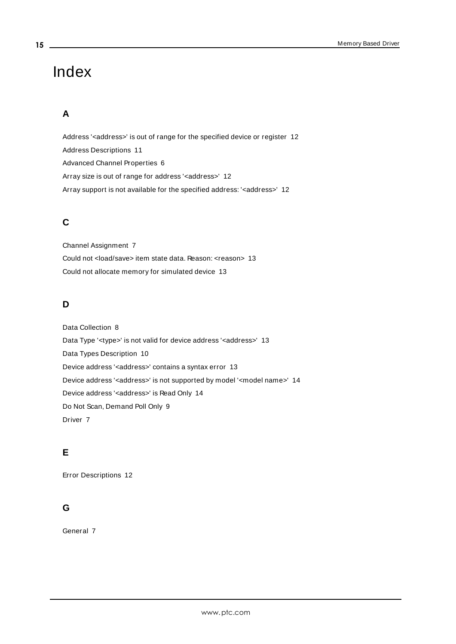# <span id="page-14-0"></span>Index

# **A**

Address '<address>' is out of range for the specified device or register [12](#page-11-1) Address Descriptions [11](#page-10-0) Advanced Channel Properties [6](#page-5-1) Array size is out of range for address '<address>' [12](#page-11-2) Array support is not available for the specified address: '< address>' [12](#page-11-3)

# **C**

Channel Assignment [7](#page-6-1) Could not <load/save> item state data. Reason: <reason> [13](#page-12-1) Could not allocate memory for simulated device [13](#page-12-0)

# **D**

Data Collection [8](#page-7-2) Data Type '<type>' is not valid for device address '<address>' [13](#page-12-2) Data Types Description [10](#page-9-0) Device address '< address>' contains a syntax error [13](#page-12-3) Device address '<address>' is not supported by model '<model name>' [14](#page-13-0) Device address '<address>' is Read Only [14](#page-13-1) Do Not Scan, Demand Poll Only [9](#page-8-0) Driver [7](#page-6-2)

# **E**

Error Descriptions [12](#page-11-0)

# **G**

General [7](#page-6-0)